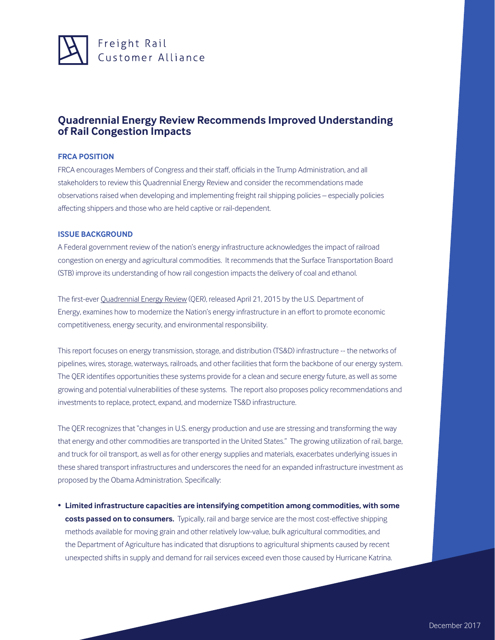

## **Quadrennial Energy Review Recommends Improved Understanding of Rail Congestion Impacts**

## **FRCA POSITION**

FRCA encourages Members of Congress and their staff, officials in the Trump Administration, and all stakeholders to review this Quadrennial Energy Review and consider the recommendations made observations raised when developing and implementing freight rail shipping policies – especially policies affecting shippers and those who are held captive or rail-dependent.

## **ISSUE BACKGROUND**

A Federal government review of the nation's energy infrastructure acknowledges the impact of railroad congestion on energy and agricultural commodities. It recommends that the Surface Transportation Board (STB) improve its understanding of how rail congestion impacts the delivery of coal and ethanol.

The first-ever Quadrennial Energy Review (QER), released April 21, 2015 by the U.S. Department of Energy, examines how to modernize the Nation's energy infrastructure in an effort to promote economic competitiveness, energy security, and environmental responsibility.

This report focuses on energy transmission, storage, and distribution (TS&D) infrastructure -- the networks of pipelines, wires, storage, waterways, railroads, and other facilities that form the backbone of our energy system. The QER identifies opportunities these systems provide for a clean and secure energy future, as well as some growing and potential vulnerabilities of these systems. The report also proposes policy recommendations and investments to replace, protect, expand, and modernize TS&D infrastructure.

The QER recognizes that "changes in U.S. energy production and use are stressing and transforming the way that energy and other commodities are transported in the United States." The growing utilization of rail, barge, and truck for oil transport, as well as for other energy supplies and materials, exacerbates underlying issues in these shared transport infrastructures and underscores the need for an expanded infrastructure investment as proposed by the Obama Administration. Specifically:

• **Limited infrastructure capacities are intensifying competition among commodities, with some costs passed on to consumers.** Typically, rail and barge service are the most cost-effective shipping methods available for moving grain and other relatively low-value, bulk agricultural commodities, and the Department of Agriculture has indicated that disruptions to agricultural shipments caused by recent unexpected shifts in supply and demand for rail services exceed even those caused by Hurricane Katrina.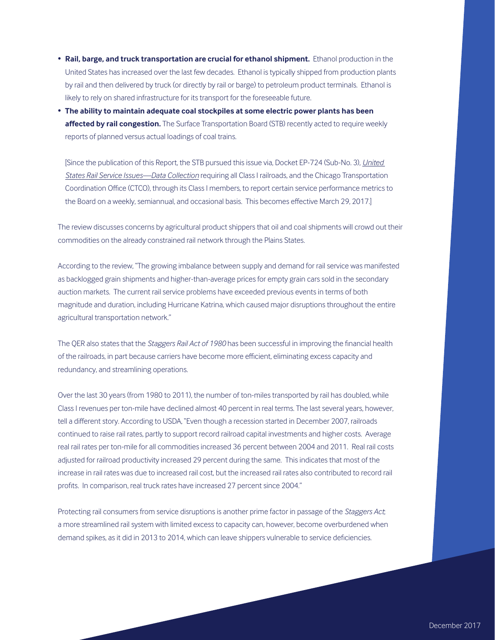- **Rail, barge, and truck transportation are crucial for ethanol shipment.** Ethanol production in the United States has increased over the last few decades. Ethanol is typically shipped from production plants by rail and then delivered by truck (or directly by rail or barge) to petroleum product terminals. Ethanol is likely to rely on shared infrastructure for its transport for the foreseeable future.
- **The ability to maintain adequate coal stockpiles at some electric power plants has been affected by rail congestion.** The Surface Transportation Board (STB) recently acted to require weekly reports of planned versus actual loadings of coal trains.

[Since the publication of this Report, the STB pursued this issue via, Docket EP-724 (Sub-No. 3), *United States Rail Service Issues—Data Collection* requiring all Class I railroads, and the Chicago Transportation Coordination Office (CTCO), through its Class I members, to report certain service performance metrics to the Board on a weekly, semiannual, and occasional basis. This becomes effective March 29, 2017.]

The review discusses concerns by agricultural product shippers that oil and coal shipments will crowd out their commodities on the already constrained rail network through the Plains States.

According to the review, "The growing imbalance between supply and demand for rail service was manifested as backlogged grain shipments and higher-than-average prices for empty grain cars sold in the secondary auction markets. The current rail service problems have exceeded previous events in terms of both magnitude and duration, including Hurricane Katrina, which caused major disruptions throughout the entire agricultural transportation network."

The QER also states that the *Staggers Rail Act of 1980* has been successful in improving the financial health of the railroads, in part because carriers have become more efficient, eliminating excess capacity and redundancy, and streamlining operations.

Over the last 30 years (from 1980 to 2011), the number of ton-miles transported by rail has doubled, while Class I revenues per ton-mile have declined almost 40 percent in real terms. The last several years, however, tell a different story. According to USDA, "Even though a recession started in December 2007, railroads continued to raise rail rates, partly to support record railroad capital investments and higher costs. Average real rail rates per ton-mile for all commodities increased 36 percent between 2004 and 2011. Real rail costs adjusted for railroad productivity increased 29 percent during the same. This indicates that most of the increase in rail rates was due to increased rail cost, but the increased rail rates also contributed to record rail profits. In comparison, real truck rates have increased 27 percent since 2004."

Protecting rail consumers from service disruptions is another prime factor in passage of the *Staggers Act*; a more streamlined rail system with limited excess to capacity can, however, become overburdened when demand spikes, as it did in 2013 to 2014, which can leave shippers vulnerable to service deficiencies.